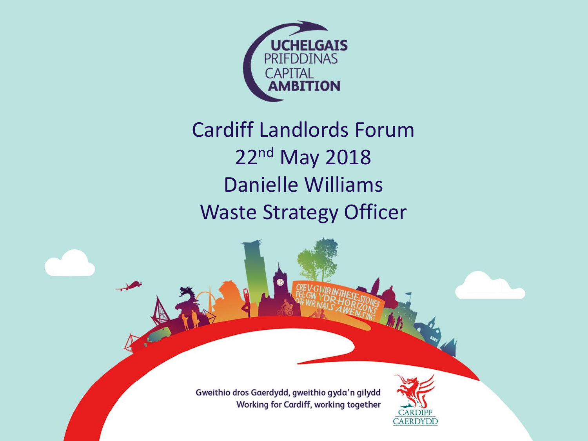

#### Cardiff Landlords Forum 22nd May 2018 Danielle Williams Waste Strategy Officer

Gweithio dros Gaerdydd, gweithio gyda'n gilydd Working for Cardiff, working together

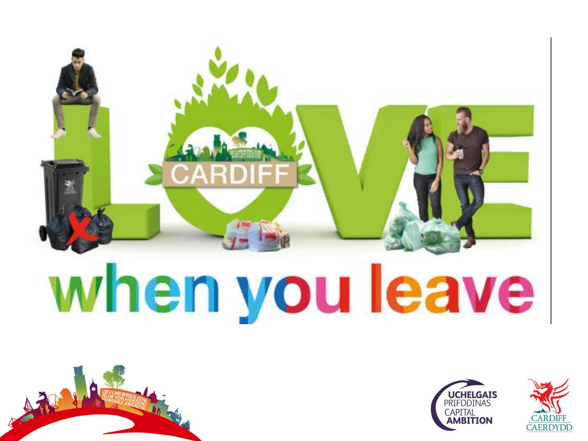





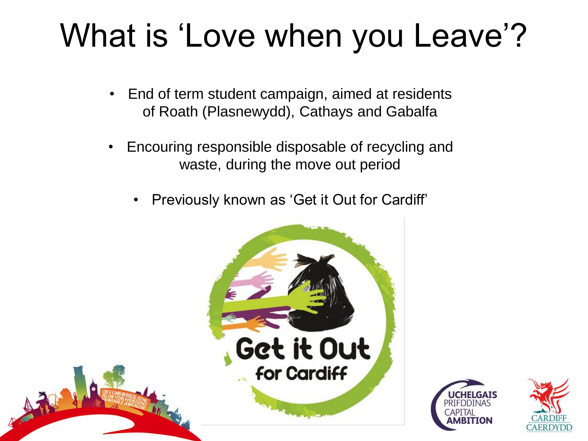#### What is 'Love when you Leave'?

- End of term student campaign, aimed at residents of Roath (Plasnewydd), Cathays and Gabalfa
- Encouring responsible disposable of recycling and waste, during the move out period
	- Previously known as 'Get it Out for Cardiff'





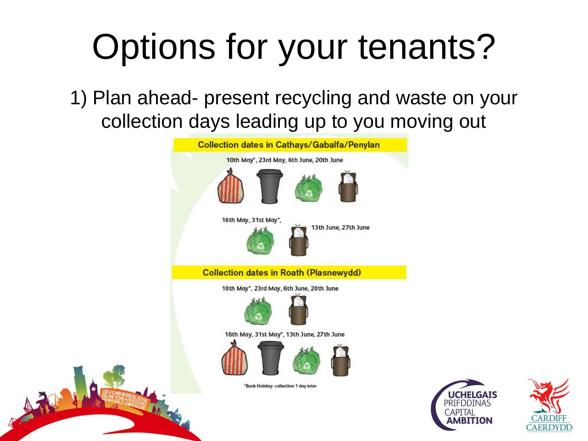1) Plan ahead- present recycling and waste on your collection days leading up to you moving out

| <b>Collection dates in Cathays/Gabalfa/Penylan</b> |  |
|----------------------------------------------------|--|
| 10th May*, 23rd May, 6th June, 20th June           |  |
|                                                    |  |
| 16th May, 31st May*,<br>13th June, 27th June       |  |
| <b>Collection dates in Roath (Plasnewydd)</b>      |  |
| 10th May*, 23rd May, 6th June, 20th June           |  |
|                                                    |  |
| 16th May, 31st May*, 13th June, 27th June          |  |
|                                                    |  |
| *Bank Holiday- collection 1 day later              |  |
|                                                    |  |

小部



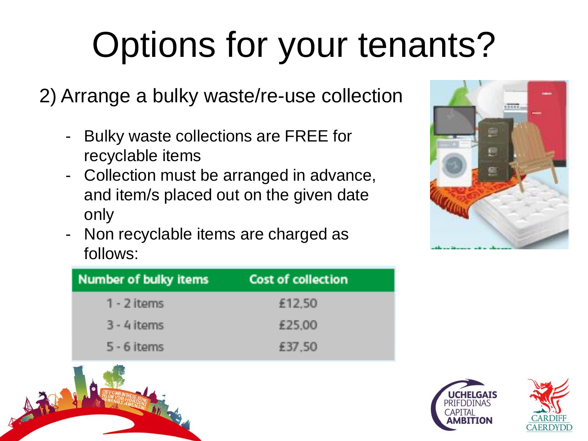2) Arrange a bulky waste/re-use collection

- Bulky waste collections are FREE for recyclable items
- Collection must be arranged in advance, and item/s placed out on the given date only
- Non recyclable items are charged as follows:



| Number of bulky items | Cost of collection |
|-----------------------|--------------------|
| 1 - 2 items           | £12,50             |
| $3 - 4$ items         | £25,00             |
| $5 - 6$ items         | £37,50             |





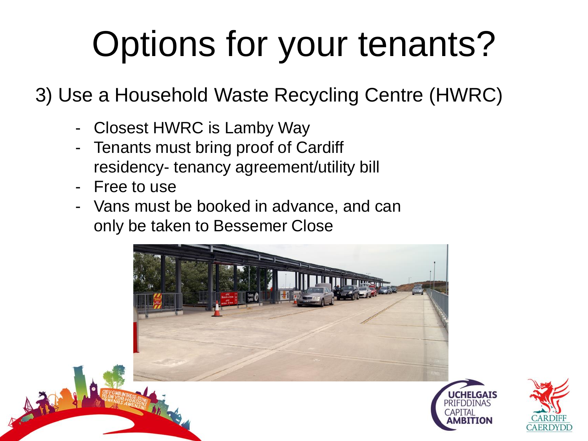3) Use a Household Waste Recycling Centre (HWRC)

- Closest HWRC is Lamby Way
- Tenants must bring proof of Cardiff residency- tenancy agreement/utility bill
- Free to use
- Vans must be booked in advance, and can only be taken to Bessemer Close



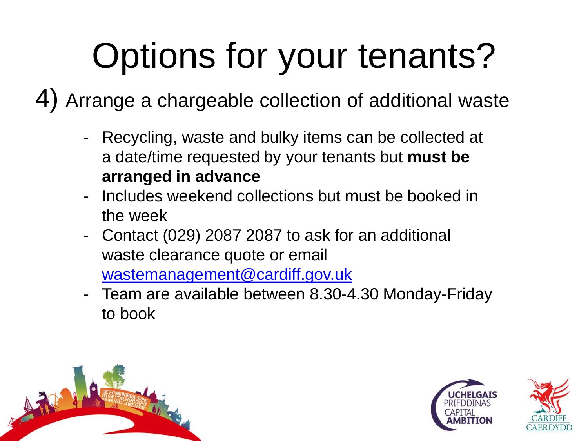4) Arrange a chargeable collection of additional waste

- Recycling, waste and bulky items can be collected at a date/time requested by your tenants but **must be arranged in advance**
- Includes weekend collections but must be booked in the week
- Contact (029) 2087 2087 to ask for an additional waste clearance quote or email [wastemanagement@cardiff.gov.uk](mailto:wastemanagement@cardiff.gov.uk)
- Team are available between 8.30-4.30 Monday-Friday to book



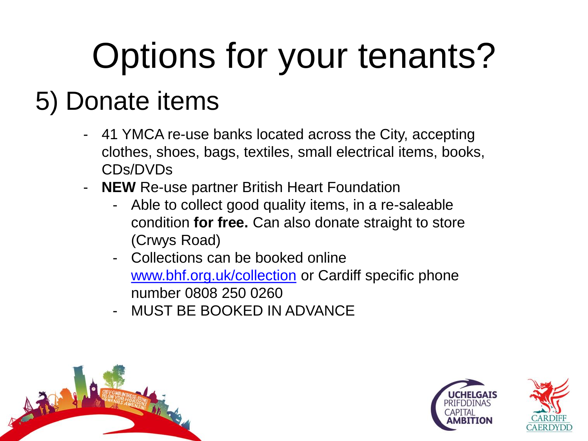#### 5) Donate items

- 41 YMCA re-use banks located across the City, accepting clothes, shoes, bags, textiles, small electrical items, books, CDs/DVDs
- **NEW** Re-use partner British Heart Foundation
	- Able to collect good quality items, in a re-saleable condition **for free.** Can also donate straight to store (Crwys Road)
	- Collections can be booked online [www.bhf.org.uk/collection](http://www.bhf.org.uk/collection) or Cardiff specific phone number 0808 250 0260
	- MUST BE BOOKED IN ADVANCE



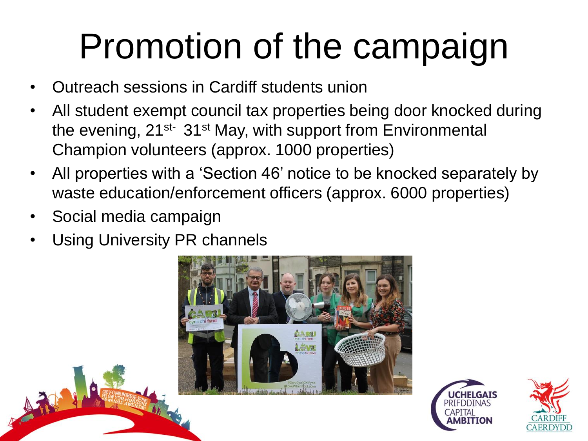## Promotion of the campaign

- Outreach sessions in Cardiff students union
- All student exempt council tax properties being door knocked during the evening, 21<sup>st-</sup> 31<sup>st</sup> May, with support from Environmental Champion volunteers (approx. 1000 properties)
- All properties with a 'Section 46' notice to be knocked separately by waste education/enforcement officers (approx. 6000 properties)
- Social media campaign
- Using University PR channels





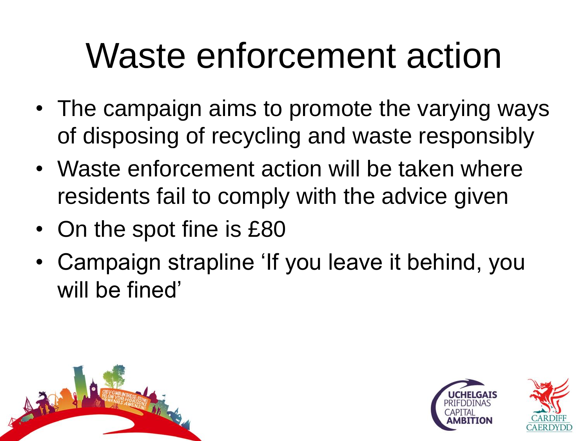#### Waste enforcement action

- The campaign aims to promote the varying ways of disposing of recycling and waste responsibly
- Waste enforcement action will be taken where residents fail to comply with the advice given
- On the spot fine is £80
- Campaign strapline 'If you leave it behind, you will be fined'



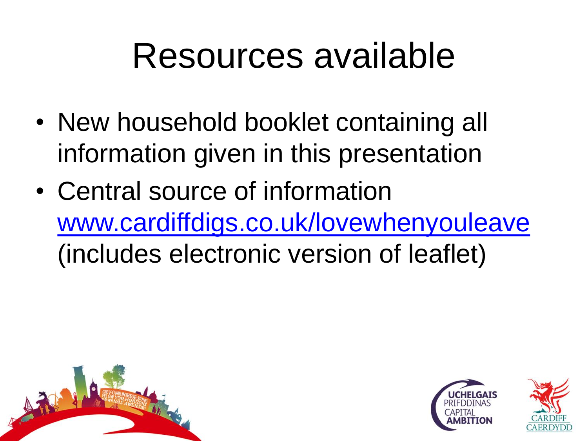#### Resources available

- New household booklet containing all information given in this presentation
- Central source of information [www.cardiffdigs.co.uk/lovewhenyouleave](http://www.cardiffdigs.co.uk/lovewhenyouleave) (includes electronic version of leaflet)